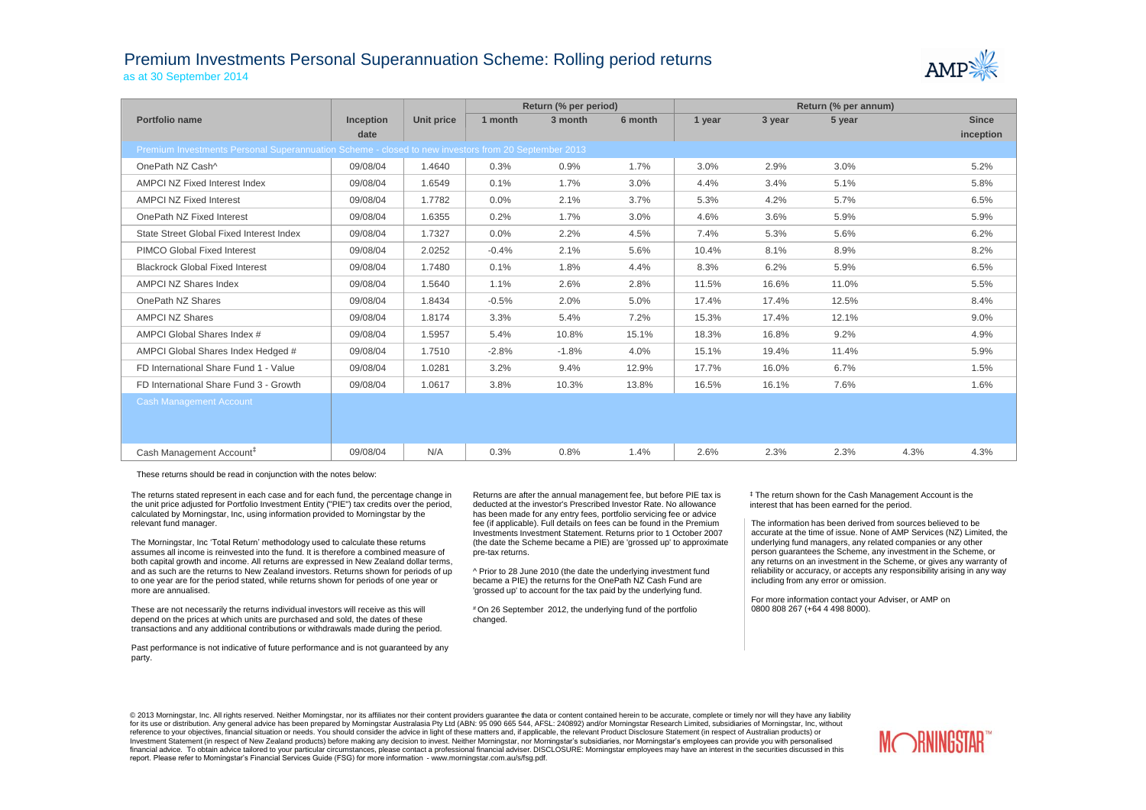## Premium Investments Personal Superannuation Scheme: Rolling period returns as at 30 September 2014



|                                                                                                     |                  |                   | Return (% per period) |         |         | Return (% per annum) |        |        |      |              |  |
|-----------------------------------------------------------------------------------------------------|------------------|-------------------|-----------------------|---------|---------|----------------------|--------|--------|------|--------------|--|
| Portfolio name                                                                                      | <b>Inception</b> | <b>Unit price</b> | 1 month               | 3 month | 6 month | 1 year               | 3 year | 5 year |      | <b>Since</b> |  |
|                                                                                                     | date             |                   |                       |         |         |                      |        |        |      | inception    |  |
| Premium Investments Personal Superannuation Scheme - closed to new investors from 20 September 2013 |                  |                   |                       |         |         |                      |        |        |      |              |  |
| OnePath NZ Cash^                                                                                    | 09/08/04         | 1.4640            | 0.3%                  | 0.9%    | 1.7%    | 3.0%                 | 2.9%   | 3.0%   |      | 5.2%         |  |
| AMPCI NZ Fixed Interest Index                                                                       | 09/08/04         | 1.6549            | 0.1%                  | 1.7%    | 3.0%    | 4.4%                 | 3.4%   | 5.1%   |      | 5.8%         |  |
| <b>AMPCI NZ Fixed Interest</b>                                                                      | 09/08/04         | 1.7782            | $0.0\%$               | 2.1%    | 3.7%    | 5.3%                 | 4.2%   | 5.7%   |      | 6.5%         |  |
| OnePath NZ Fixed Interest                                                                           | 09/08/04         | 1.6355            | 0.2%                  | 1.7%    | 3.0%    | 4.6%                 | 3.6%   | 5.9%   |      | 5.9%         |  |
| State Street Global Fixed Interest Index                                                            | 09/08/04         | 1.7327            | 0.0%                  | 2.2%    | 4.5%    | 7.4%                 | 5.3%   | 5.6%   |      | 6.2%         |  |
| <b>PIMCO Global Fixed Interest</b>                                                                  | 09/08/04         | 2.0252            | $-0.4%$               | 2.1%    | 5.6%    | 10.4%                | 8.1%   | 8.9%   |      | 8.2%         |  |
| <b>Blackrock Global Fixed Interest</b>                                                              | 09/08/04         | 1.7480            | 0.1%                  | 1.8%    | 4.4%    | 8.3%                 | 6.2%   | 5.9%   |      | 6.5%         |  |
| <b>AMPCI NZ Shares Index</b>                                                                        | 09/08/04         | 1.5640            | 1.1%                  | 2.6%    | 2.8%    | 11.5%                | 16.6%  | 11.0%  |      | 5.5%         |  |
| OnePath NZ Shares                                                                                   | 09/08/04         | 1.8434            | $-0.5%$               | 2.0%    | 5.0%    | 17.4%                | 17.4%  | 12.5%  |      | 8.4%         |  |
| <b>AMPCI NZ Shares</b>                                                                              | 09/08/04         | 1.8174            | 3.3%                  | 5.4%    | 7.2%    | 15.3%                | 17.4%  | 12.1%  |      | $9.0\%$      |  |
| AMPCI Global Shares Index #                                                                         | 09/08/04         | 1.5957            | 5.4%                  | 10.8%   | 15.1%   | 18.3%                | 16.8%  | 9.2%   |      | 4.9%         |  |
| AMPCI Global Shares Index Hedged #                                                                  | 09/08/04         | 1.7510            | $-2.8%$               | $-1.8%$ | 4.0%    | 15.1%                | 19.4%  | 11.4%  |      | 5.9%         |  |
| FD International Share Fund 1 - Value                                                               | 09/08/04         | 1.0281            | 3.2%                  | 9.4%    | 12.9%   | 17.7%                | 16.0%  | 6.7%   |      | 1.5%         |  |
| FD International Share Fund 3 - Growth                                                              | 09/08/04         | 1.0617            | 3.8%                  | 10.3%   | 13.8%   | 16.5%                | 16.1%  | 7.6%   |      | 1.6%         |  |
| <b>Cash Management Account</b>                                                                      |                  |                   |                       |         |         |                      |        |        |      |              |  |
| Cash Management Account <sup>#</sup>                                                                | 09/08/04         | N/A               | 0.3%                  | 0.8%    | 1.4%    | 2.6%                 | 2.3%   | 2.3%   | 4.3% | 4.3%         |  |

These returns should be read in conjunction with the notes below:

The returns stated represent in each case and for each fund, the percentage change in the unit price adjusted for Portfolio Investment Entity ("PIE") tax credits over the period, calculated by Morningstar, Inc, using information provided to Morningstar by the relevant fund manager.

The Morningstar, Inc 'Total Return' methodology used to calculate these returns assumes all income is reinvested into the fund. It is therefore a combined measure of both capital growth and income. All returns are expressed in New Zealand dollar terms, and as such are the returns to New Zealand investors. Returns shown for periods of up to one year are for the period stated, while returns shown for periods of one year or more are annualised.

These are not necessarily the returns individual investors will receive as this will depend on the prices at which units are purchased and sold, the dates of these transactions and any additional contributions or withdrawals made during the period.

Past performance is not indicative of future performance and is not guaranteed by any party.

Returns are after the annual management fee, but before PIE tax is deducted at the investor's Prescribed Investor Rate. No allowance has been made for any entry fees, portfolio servicing fee or advice fee (if applicable). Full details on fees can be found in the Premium Investments Investment Statement. Returns prior to 1 October 2007 (the date the Scheme became a PIE) are 'grossed up' to approximate pre-tax returns.

^ Prior to 28 June 2010 (the date the underlying investment fund became a PIE) the returns for the OnePath NZ Cash Fund are 'grossed up' to account for the tax paid by the underlying fund.

# On 26 September 2012, the underlying fund of the portfolio changed.

‡ The return shown for the Cash Management Account is the interest that has been earned for the period.

The information has been derived from sources believed to be accurate at the time of issue. None of AMP Services (NZ) Limited, the underlying fund managers, any related companies or any other person guarantees the Scheme, any investment in the Scheme, or any returns on an investment in the Scheme, or gives any warranty of reliability or accuracy, or accepts any responsibility arising in any way including from any error or omission.

For more information contact your Adviser, or AMP on 0800 808 267 (+64 4 498 8000).

© 2013 Morningstar, Inc. All rights reserved. Neither Morningstar, nor its affiliates nor their content providers quarantee the data or content contained herein to be accurate, complete or timely nor will they have any lia for its use or distribution. Any general advice has been prepared by Morningstar Australasia Pty Ltd (ABN: 95 090 665 544, AFSL: 240892) and/or Morningstar Research Limited, subsidiaries of Morningstar, Inc, without reference to your objectives, financial situation or needs. You should consider the advice in light of these matters and, if applicable, the relevant Product Disclosure Statement (in respect of Australian products) or Investment Statement (in respect of New Zealand products) before making any decision to invest. Neither Morningstar, nor Morningstar's subsidiaries, nor Morningstar's employees can provide you with personalised financial advice. To obtain advice tailored to your particular circumstances, please contact a professional financial adviser. DISCLOSURE: Morningstar employees may have an interest in the securities discussed in this report. Please refer to Morningstar's Financial Services Guide (FSG) for more information - www.morningstar.com.au/s/fsg.pdf.